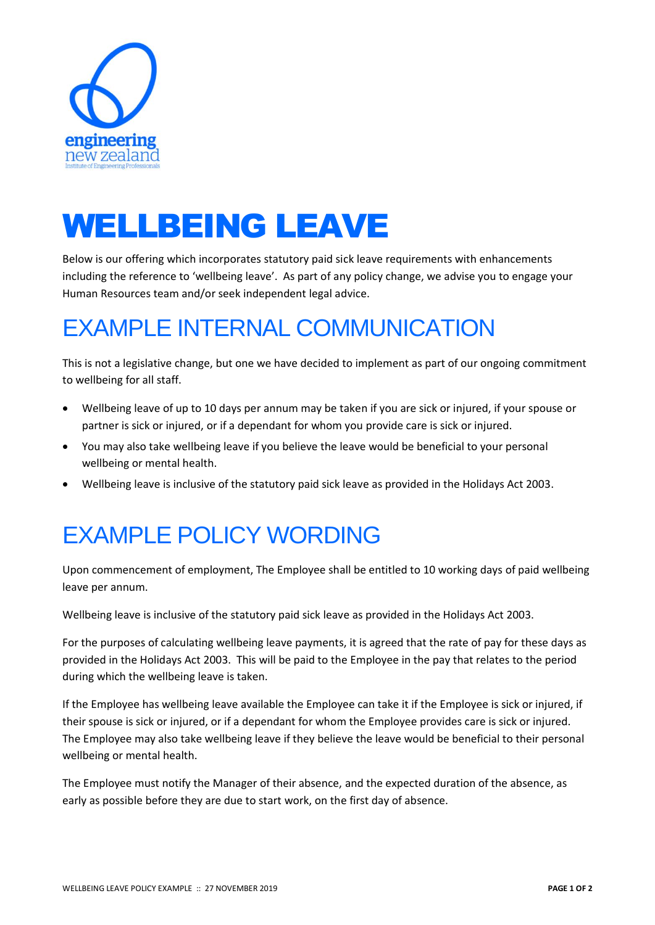

## WELLBEING LEAVE

Below is our offering which incorporates statutory paid sick leave requirements with enhancements including the reference to 'wellbeing leave'. As part of any policy change, we advise you to engage your Human Resources team and/or seek independent legal advice.

## EXAMPLE INTERNAL COMMUNICATION

This is not a legislative change, but one we have decided to implement as part of our ongoing commitment to wellbeing for all staff.

- Wellbeing leave of up to 10 days per annum may be taken if you are sick or injured, if your spouse or partner is sick or injured, or if a dependant for whom you provide care is sick or injured.
- You may also take wellbeing leave if you believe the leave would be beneficial to your personal wellbeing or mental health.
- Wellbeing leave is inclusive of the statutory paid sick leave as provided in the Holidays Act 2003.

## EXAMPLE POLICY WORDING

Upon commencement of employment, The Employee shall be entitled to 10 working days of paid wellbeing leave per annum.

Wellbeing leave is inclusive of the statutory paid sick leave as provided in the Holidays Act 2003.

For the purposes of calculating wellbeing leave payments, it is agreed that the rate of pay for these days as provided in the Holidays Act 2003. This will be paid to the Employee in the pay that relates to the period during which the wellbeing leave is taken.

If the Employee has wellbeing leave available the Employee can take it if the Employee is sick or injured, if their spouse is sick or injured, or if a dependant for whom the Employee provides care is sick or injured. The Employee may also take wellbeing leave if they believe the leave would be beneficial to their personal wellbeing or mental health.

The Employee must notify the Manager of their absence, and the expected duration of the absence, as early as possible before they are due to start work, on the first day of absence.